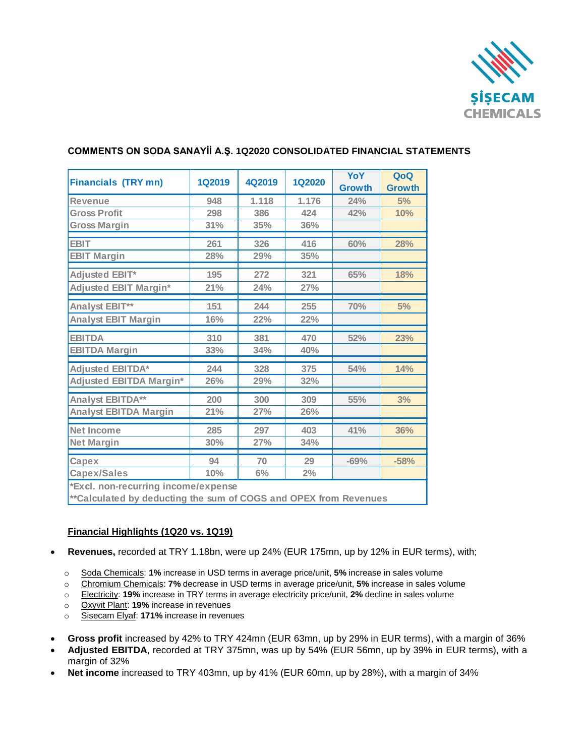

H.

| <b>Financials (TRY mn)</b>                                                                                                                             | <b>1Q2019</b> | 4Q2019 | <b>1Q2020</b> | YoY<br><b>Growth</b> | QoQ<br><b>Growth</b> |
|--------------------------------------------------------------------------------------------------------------------------------------------------------|---------------|--------|---------------|----------------------|----------------------|
| <b>Revenue</b>                                                                                                                                         | 948           | 1.118  | 1.176         | 24%                  | 5%                   |
| <b>Gross Profit</b>                                                                                                                                    | 298           | 386    | 424           | 42%                  | 10%                  |
| <b>Gross Margin</b>                                                                                                                                    | 31%           | 35%    | 36%           |                      |                      |
| <b>EBIT</b>                                                                                                                                            | 261           | 326    | 416           | 60%                  | 28%                  |
| <b>EBIT Margin</b>                                                                                                                                     | 28%           | 29%    | 35%           |                      |                      |
| Adjusted EBIT*                                                                                                                                         | 195           | 272    | 321           | 65%                  | 18%                  |
| <b>Adjusted EBIT Margin*</b>                                                                                                                           | 21%           | 24%    | 27%           |                      |                      |
| Analyst EBIT**                                                                                                                                         | 151           | 244    | 255           | 70%                  | 5%                   |
| <b>Analyst EBIT Margin</b>                                                                                                                             | 16%           | 22%    | 22%           |                      |                      |
| <b>EBITDA</b>                                                                                                                                          | 310           | 381    | 470           | 52%                  | 23%                  |
| <b>EBITDA Margin</b>                                                                                                                                   | 33%           | 34%    | 40%           |                      |                      |
| <b>Adjusted EBITDA*</b>                                                                                                                                | 244           | 328    | 375           | 54%                  | 14%                  |
| Adjusted EBITDA Margin*                                                                                                                                | 26%           | 29%    | 32%           |                      |                      |
| <b>Analyst EBITDA**</b>                                                                                                                                | 200           | 300    | 309           | 55%                  | 3%                   |
| <b>Analyst EBITDA Margin</b>                                                                                                                           | 21%           | 27%    | 26%           |                      |                      |
| <b>Net Income</b>                                                                                                                                      | 285           | 297    | 403           | 41%                  | 36%                  |
| <b>Net Margin</b>                                                                                                                                      | 30%           | 27%    | 34%           |                      |                      |
| Capex                                                                                                                                                  | 94            | 70     | 29            | $-69%$               | $-58%$               |
| <b>Capex/Sales</b>                                                                                                                                     | 10%           | 6%     | 2%            |                      |                      |
| *Excl. non-recurring income/expense<br>the contract of the contract of the contract of the contract of the contract of the contract of the contract of |               |        |               |                      |                      |

## **COMMENTS ON SODA SANAYİİ A.Ş. 1Q2020 CONSOLIDATED FINANCIAL STATEMENTS**

**\*\*Calculated by deducting the sum of COGS and OPEX from Revenues** 

#### **Financial Highlights (1Q20 vs. 1Q19)**

- **Revenues,** recorded at TRY 1.18bn, were up 24% (EUR 175mn, up by 12% in EUR terms), with;
	- o Soda Chemicals: **1%** increase in USD terms in average price/unit, **5%** increase in sales volume
	- o Chromium Chemicals: **7%** decrease in USD terms in average price/unit, **5%** increase in sales volume
	- o Electricity: **19%** increase in TRY terms in average electricity price/unit, **2%** decline in sales volume
	- o Oxyvit Plant: **19%** increase in revenues
	- o Sisecam Elyaf: **171%** increase in revenues
- **Gross profit** increased by 42% to TRY 424mn (EUR 63mn, up by 29% in EUR terms), with a margin of 36%
- **Adjusted EBITDA**, recorded at TRY 375mn, was up by 54% (EUR 56mn, up by 39% in EUR terms), with a margin of 32%
- **Net income** increased to TRY 403mn, up by 41% (EUR 60mn, up by 28%), with a margin of 34%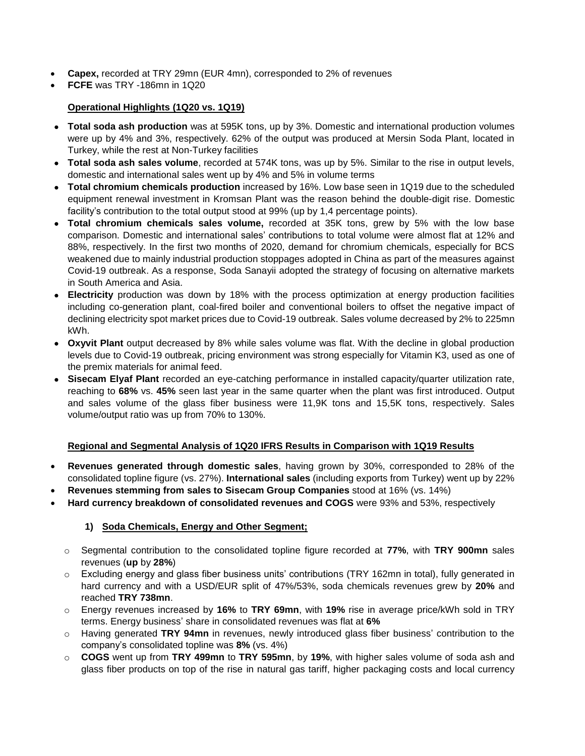- **Capex,** recorded at TRY 29mn (EUR 4mn), corresponded to 2% of revenues
- **FCFE** was TRY -186mn in 1Q20

# **Operational Highlights (1Q20 vs. 1Q19)**

- **Total soda ash production** was at 595K tons, up by 3%. Domestic and international production volumes were up by 4% and 3%, respectively. 62% of the output was produced at Mersin Soda Plant, located in Turkey, while the rest at Non-Turkey facilities
- **Total soda ash sales volume**, recorded at 574K tons, was up by 5%. Similar to the rise in output levels, domestic and international sales went up by 4% and 5% in volume terms
- **Total chromium chemicals production** increased by 16%. Low base seen in 1Q19 due to the scheduled equipment renewal investment in Kromsan Plant was the reason behind the double-digit rise. Domestic facility's contribution to the total output stood at 99% (up by 1,4 percentage points).
- **Total chromium chemicals sales volume,** recorded at 35K tons, grew by 5% with the low base comparison. Domestic and international sales' contributions to total volume were almost flat at 12% and 88%, respectively. In the first two months of 2020, demand for chromium chemicals, especially for BCS weakened due to mainly industrial production stoppages adopted in China as part of the measures against Covid-19 outbreak. As a response, Soda Sanayii adopted the strategy of focusing on alternative markets in South America and Asia.
- **Electricity** production was down by 18% with the process optimization at energy production facilities including co-generation plant, coal-fired boiler and conventional boilers to offset the negative impact of declining electricity spot market prices due to Covid-19 outbreak. Sales volume decreased by 2% to 225mn kWh.
- **Oxyvit Plant** output decreased by 8% while sales volume was flat. With the decline in global production levels due to Covid-19 outbreak, pricing environment was strong especially for Vitamin K3, used as one of the premix materials for animal feed.
- **Sisecam Elyaf Plant** recorded an eye-catching performance in installed capacity/quarter utilization rate, reaching to **68%** vs. **45%** seen last year in the same quarter when the plant was first introduced. Output and sales volume of the glass fiber business were 11,9K tons and 15,5K tons, respectively. Sales volume/output ratio was up from 70% to 130%.

#### **Regional and Segmental Analysis of 1Q20 IFRS Results in Comparison with 1Q19 Results**

- **Revenues generated through domestic sales**, having grown by 30%, corresponded to 28% of the consolidated topline figure (vs. 27%). **International sales** (including exports from Turkey) went up by 22%
- **Revenues stemming from sales to Sisecam Group Companies** stood at 16% (vs. 14%)
- **Hard currency breakdown of consolidated revenues and COGS** were 93% and 53%, respectively

# **1) Soda Chemicals, Energy and Other Segment;**

- o Segmental contribution to the consolidated topline figure recorded at **77%**, with **TRY 900mn** sales revenues (**up** by **28%**)
- o Excluding energy and glass fiber business units' contributions (TRY 162mn in total), fully generated in hard currency and with a USD/EUR split of 47%/53%, soda chemicals revenues grew by **20%** and reached **TRY 738mn**.
- o Energy revenues increased by **16%** to **TRY 69mn**, with **19%** rise in average price/kWh sold in TRY terms. Energy business' share in consolidated revenues was flat at **6%**
- o Having generated **TRY 94mn** in revenues, newly introduced glass fiber business' contribution to the company's consolidated topline was **8%** (vs. 4%)
- o **COGS** went up from **TRY 499mn** to **TRY 595mn**, by **19%**, with higher sales volume of soda ash and glass fiber products on top of the rise in natural gas tariff, higher packaging costs and local currency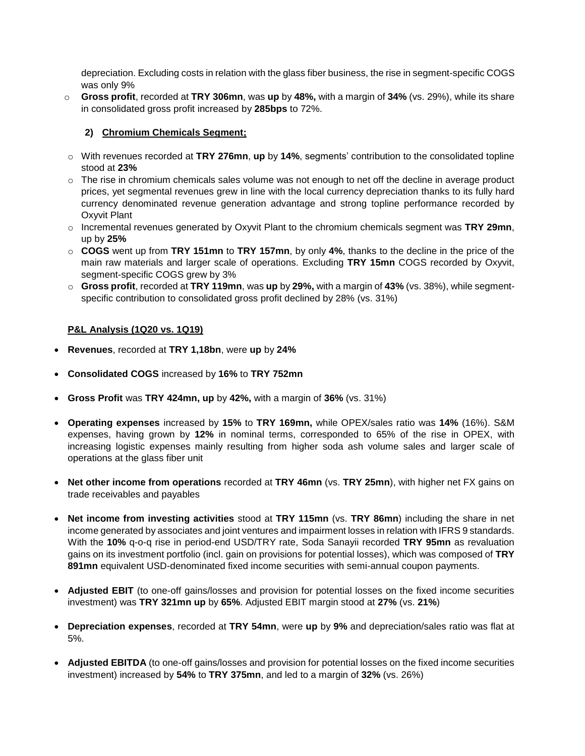depreciation. Excluding costs in relation with the glass fiber business, the rise in segment-specific COGS was only 9%

o **Gross profit**, recorded at **TRY 306mn**, was **up** by **48%,** with a margin of **34%** (vs. 29%), while its share in consolidated gross profit increased by **285bps** to 72%.

### **2) Chromium Chemicals Segment;**

- o With revenues recorded at **TRY 276mn**, **up** by **14%**, segments' contribution to the consolidated topline stood at **23%**
- $\circ$  The rise in chromium chemicals sales volume was not enough to net off the decline in average product prices, yet segmental revenues grew in line with the local currency depreciation thanks to its fully hard currency denominated revenue generation advantage and strong topline performance recorded by Oxyvit Plant
- o Incremental revenues generated by Oxyvit Plant to the chromium chemicals segment was **TRY 29mn**, up by **25%**
- o **COGS** went up from **TRY 151mn** to **TRY 157mn**, by only **4%**, thanks to the decline in the price of the main raw materials and larger scale of operations. Excluding **TRY 15mn** COGS recorded by Oxyvit, segment-specific COGS grew by 3%
- o **Gross profit**, recorded at **TRY 119mn**, was **up** by **29%,** with a margin of **43%** (vs. 38%), while segmentspecific contribution to consolidated gross profit declined by 28% (vs. 31%)

#### **P&L Analysis (1Q20 vs. 1Q19)**

- **Revenues**, recorded at **TRY 1,18bn**, were **up** by **24%**
- **Consolidated COGS** increased by **16%** to **TRY 752mn**
- **Gross Profit** was **TRY 424mn, up** by **42%,** with a margin of **36%** (vs. 31%)
- **Operating expenses** increased by **15%** to **TRY 169mn,** while OPEX/sales ratio was **14%** (16%). S&M expenses, having grown by **12%** in nominal terms, corresponded to 65% of the rise in OPEX, with increasing logistic expenses mainly resulting from higher soda ash volume sales and larger scale of operations at the glass fiber unit
- **Net other income from operations** recorded at **TRY 46mn** (vs. **TRY 25mn**), with higher net FX gains on trade receivables and payables
- **Net income from investing activities** stood at **TRY 115mn** (vs. **TRY 86mn**) including the share in net income generated by associates and joint ventures and impairment losses in relation with IFRS 9 standards. With the **10%** q-o-q rise in period-end USD/TRY rate, Soda Sanayii recorded **TRY 95mn** as revaluation gains on its investment portfolio (incl. gain on provisions for potential losses), which was composed of **TRY 891mn** equivalent USD-denominated fixed income securities with semi-annual coupon payments.
- **Adjusted EBIT** (to one-off gains/losses and provision for potential losses on the fixed income securities investment) was **TRY 321mn up** by **65%**. Adjusted EBIT margin stood at **27%** (vs. **21%**)
- **Depreciation expenses**, recorded at **TRY 54mn**, were **up** by **9%** and depreciation/sales ratio was flat at 5%.
- **Adjusted EBITDA** (to one-off gains/losses and provision for potential losses on the fixed income securities investment) increased by **54%** to **TRY 375mn**, and led to a margin of **32%** (vs. 26%)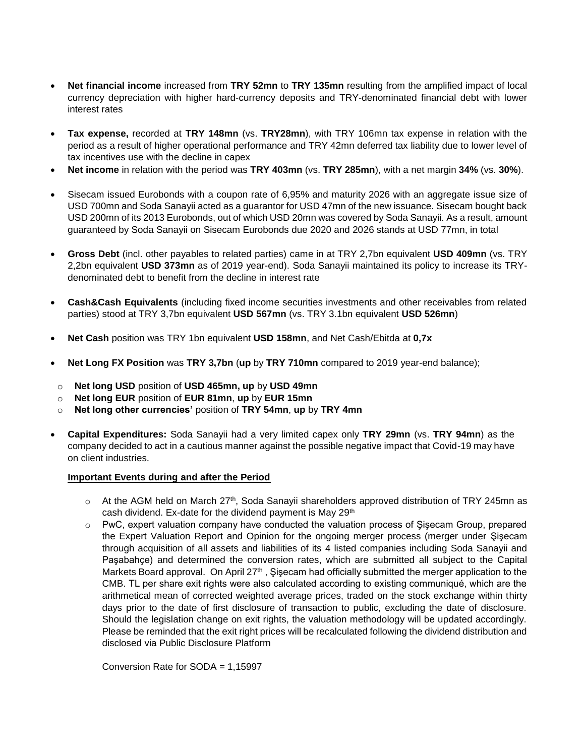- **Net financial income** increased from **TRY 52mn** to **TRY 135mn** resulting from the amplified impact of local currency depreciation with higher hard-currency deposits and TRY-denominated financial debt with lower interest rates
- **Tax expense,** recorded at **TRY 148mn** (vs. **TRY28mn**), with TRY 106mn tax expense in relation with the period as a result of higher operational performance and TRY 42mn deferred tax liability due to lower level of tax incentives use with the decline in capex
- **Net income** in relation with the period was **TRY 403mn** (vs. **TRY 285mn**), with a net margin **34%** (vs. **30%**).
- Sisecam issued Eurobonds with a coupon rate of 6,95% and maturity 2026 with an aggregate issue size of USD 700mn and Soda Sanayii acted as a guarantor for USD 47mn of the new issuance. Sisecam bought back USD 200mn of its 2013 Eurobonds, out of which USD 20mn was covered by Soda Sanayii. As a result, amount guaranteed by Soda Sanayii on Sisecam Eurobonds due 2020 and 2026 stands at USD 77mn, in total
- **Gross Debt** (incl. other payables to related parties) came in at TRY 2,7bn equivalent **USD 409mn** (vs. TRY 2,2bn equivalent **USD 373mn** as of 2019 year-end). Soda Sanayii maintained its policy to increase its TRYdenominated debt to benefit from the decline in interest rate
- **Cash&Cash Equivalents** (including fixed income securities investments and other receivables from related parties) stood at TRY 3,7bn equivalent **USD 567mn** (vs. TRY 3.1bn equivalent **USD 526mn**)
- **Net Cash** position was TRY 1bn equivalent **USD 158mn**, and Net Cash/Ebitda at **0,7x**
- **Net Long FX Position** was **TRY 3,7bn** (**up** by **TRY 710mn** compared to 2019 year-end balance);
- o **Net long USD** position of **USD 465mn, up** by **USD 49mn**
- o **Net long EUR** position of **EUR 81mn**, **up** by **EUR 15mn**
- o **Net long other currencies'** position of **TRY 54mn**, **up** by **TRY 4mn**
- **Capital Expenditures:** Soda Sanayii had a very limited capex only **TRY 29mn** (vs. **TRY 94mn**) as the company decided to act in a cautious manner against the possible negative impact that Covid-19 may have on client industries.

## **Important Events during and after the Period**

- $\circ$  At the AGM held on March 27<sup>th</sup>, Soda Sanayii shareholders approved distribution of TRY 245mn as cash dividend. Ex-date for the dividend payment is May 29<sup>th</sup>
- $\circ$  PwC, expert valuation company have conducted the valuation process of Şişecam Group, prepared the Expert Valuation Report and Opinion for the ongoing merger process (merger under Şişecam through acquisition of all assets and liabilities of its 4 listed companies including Soda Sanayii and Paşabahçe) and determined the conversion rates, which are submitted all subject to the Capital Markets Board approval. On April 27th , Şişecam had officially submitted the merger application to the CMB. TL per share exit rights were also calculated according to existing communiqué, which are the arithmetical mean of corrected weighted average prices, traded on the stock exchange within thirty days prior to the date of first disclosure of transaction to public, excluding the date of disclosure. Should the legislation change on exit rights, the valuation methodology will be updated accordingly. Please be reminded that the exit right prices will be recalculated following the dividend distribution and disclosed via Public Disclosure Platform

Conversion Rate for SODA = 1,15997